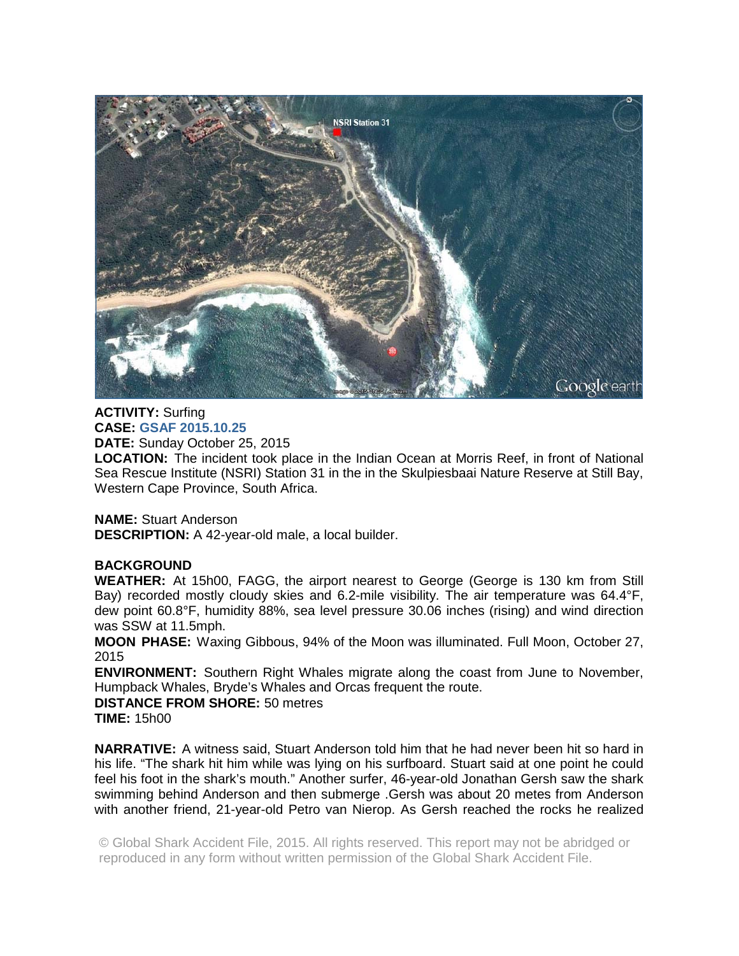

## **ACTIVITY:** Surfing **CASE: GSAF 2015.10.25**

**DATE:** Sunday October 25, 2015

**LOCATION:** The incident took place in the Indian Ocean at Morris Reef, in front of National Sea Rescue Institute (NSRI) Station 31 in the in the Skulpiesbaai Nature Reserve at Still Bay, Western Cape Province, South Africa.

**NAME:** Stuart Anderson

**DESCRIPTION:** A 42-year-old male, a local builder.

## **BACKGROUND**

**WEATHER:** At 15h00, FAGG, the airport nearest to George (George is 130 km from Still Bay) recorded mostly cloudy skies and 6.2-mile visibility. The air temperature was 64.4°F, dew point 60.8°F, humidity 88%, sea level pressure 30.06 inches (rising) and wind direction was SSW at 11.5mph.

**MOON PHASE:** Waxing Gibbous, 94% of the Moon was illuminated. Full Moon, October 27, 2015

**ENVIRONMENT:** Southern Right Whales migrate along the coast from June to November, Humpback Whales, Bryde's Whales and Orcas frequent the route.

**DISTANCE FROM SHORE:** 50 metres **TIME:** 15h00

**NARRATIVE:** A witness said, Stuart Anderson told him that he had never been hit so hard in his life. "The shark hit him while was lying on his surfboard. Stuart said at one point he could feel his foot in the shark's mouth." Another surfer, 46-year-old Jonathan Gersh saw the shark swimming behind Anderson and then submerge .Gersh was about 20 metes from Anderson with another friend, 21-year-old Petro van Nierop. As Gersh reached the rocks he realized

© Global Shark Accident File, 2015. All rights reserved. This report may not be abridged or reproduced in any form without written permission of the Global Shark Accident File.